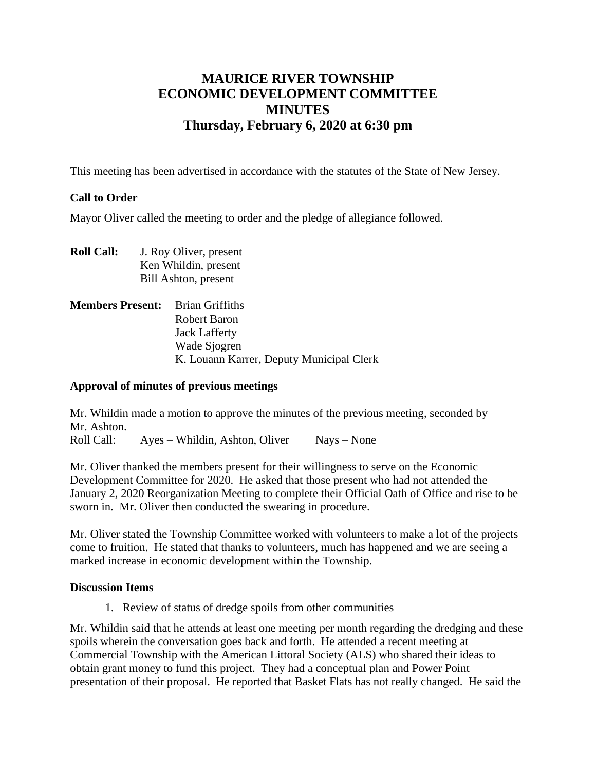# **MAURICE RIVER TOWNSHIP ECONOMIC DEVELOPMENT COMMITTEE MINUTES Thursday, February 6, 2020 at 6:30 pm**

This meeting has been advertised in accordance with the statutes of the State of New Jersey.

## **Call to Order**

Mayor Oliver called the meeting to order and the pledge of allegiance followed.

- **Roll Call:** J. Roy Oliver, present Ken Whildin, present Bill Ashton, present
- **Members Present:** Brian Griffiths Robert Baron Jack Lafferty Wade Sjogren K. Louann Karrer, Deputy Municipal Clerk

#### **Approval of minutes of previous meetings**

Mr. Whildin made a motion to approve the minutes of the previous meeting, seconded by Mr. Ashton.

Roll Call: Ayes – Whildin, Ashton, Oliver Nays – None

Mr. Oliver thanked the members present for their willingness to serve on the Economic Development Committee for 2020. He asked that those present who had not attended the January 2, 2020 Reorganization Meeting to complete their Official Oath of Office and rise to be sworn in. Mr. Oliver then conducted the swearing in procedure.

Mr. Oliver stated the Township Committee worked with volunteers to make a lot of the projects come to fruition. He stated that thanks to volunteers, much has happened and we are seeing a marked increase in economic development within the Township.

#### **Discussion Items**

1. Review of status of dredge spoils from other communities

Mr. Whildin said that he attends at least one meeting per month regarding the dredging and these spoils wherein the conversation goes back and forth. He attended a recent meeting at Commercial Township with the American Littoral Society (ALS) who shared their ideas to obtain grant money to fund this project. They had a conceptual plan and Power Point presentation of their proposal. He reported that Basket Flats has not really changed. He said the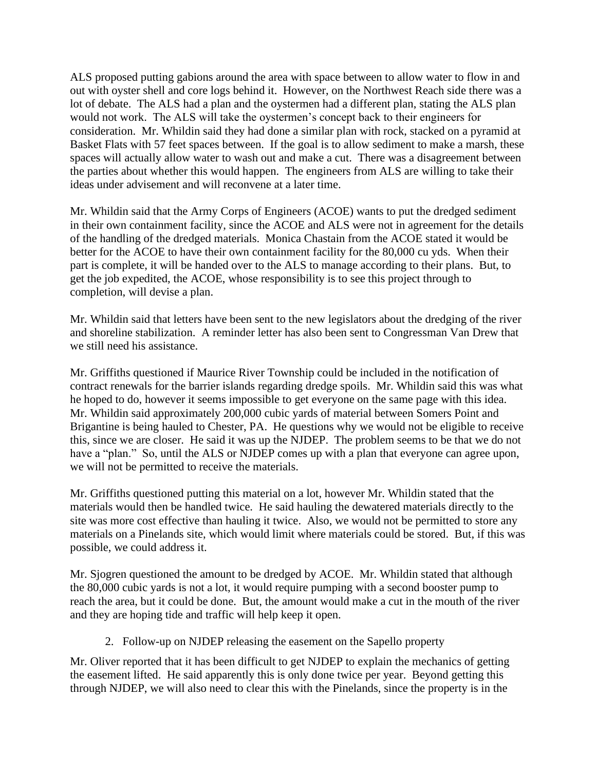ALS proposed putting gabions around the area with space between to allow water to flow in and out with oyster shell and core logs behind it. However, on the Northwest Reach side there was a lot of debate. The ALS had a plan and the oystermen had a different plan, stating the ALS plan would not work. The ALS will take the oystermen's concept back to their engineers for consideration. Mr. Whildin said they had done a similar plan with rock, stacked on a pyramid at Basket Flats with 57 feet spaces between. If the goal is to allow sediment to make a marsh, these spaces will actually allow water to wash out and make a cut. There was a disagreement between the parties about whether this would happen. The engineers from ALS are willing to take their ideas under advisement and will reconvene at a later time.

Mr. Whildin said that the Army Corps of Engineers (ACOE) wants to put the dredged sediment in their own containment facility, since the ACOE and ALS were not in agreement for the details of the handling of the dredged materials. Monica Chastain from the ACOE stated it would be better for the ACOE to have their own containment facility for the 80,000 cu yds. When their part is complete, it will be handed over to the ALS to manage according to their plans. But, to get the job expedited, the ACOE, whose responsibility is to see this project through to completion, will devise a plan.

Mr. Whildin said that letters have been sent to the new legislators about the dredging of the river and shoreline stabilization. A reminder letter has also been sent to Congressman Van Drew that we still need his assistance.

Mr. Griffiths questioned if Maurice River Township could be included in the notification of contract renewals for the barrier islands regarding dredge spoils. Mr. Whildin said this was what he hoped to do, however it seems impossible to get everyone on the same page with this idea. Mr. Whildin said approximately 200,000 cubic yards of material between Somers Point and Brigantine is being hauled to Chester, PA. He questions why we would not be eligible to receive this, since we are closer. He said it was up the NJDEP. The problem seems to be that we do not have a "plan." So, until the ALS or NJDEP comes up with a plan that everyone can agree upon, we will not be permitted to receive the materials.

Mr. Griffiths questioned putting this material on a lot, however Mr. Whildin stated that the materials would then be handled twice. He said hauling the dewatered materials directly to the site was more cost effective than hauling it twice. Also, we would not be permitted to store any materials on a Pinelands site, which would limit where materials could be stored. But, if this was possible, we could address it.

Mr. Sjogren questioned the amount to be dredged by ACOE. Mr. Whildin stated that although the 80,000 cubic yards is not a lot, it would require pumping with a second booster pump to reach the area, but it could be done. But, the amount would make a cut in the mouth of the river and they are hoping tide and traffic will help keep it open.

2. Follow-up on NJDEP releasing the easement on the Sapello property

Mr. Oliver reported that it has been difficult to get NJDEP to explain the mechanics of getting the easement lifted. He said apparently this is only done twice per year. Beyond getting this through NJDEP, we will also need to clear this with the Pinelands, since the property is in the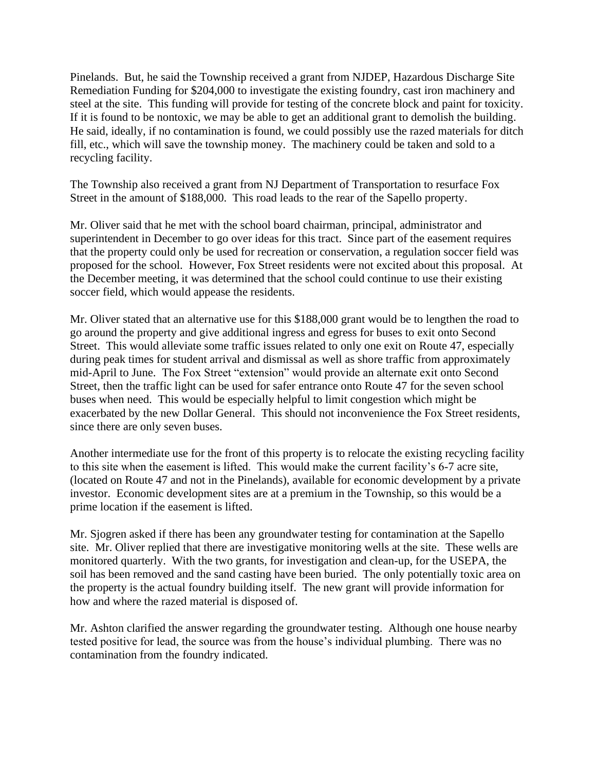Pinelands. But, he said the Township received a grant from NJDEP, Hazardous Discharge Site Remediation Funding for \$204,000 to investigate the existing foundry, cast iron machinery and steel at the site. This funding will provide for testing of the concrete block and paint for toxicity. If it is found to be nontoxic, we may be able to get an additional grant to demolish the building. He said, ideally, if no contamination is found, we could possibly use the razed materials for ditch fill, etc., which will save the township money. The machinery could be taken and sold to a recycling facility.

The Township also received a grant from NJ Department of Transportation to resurface Fox Street in the amount of \$188,000. This road leads to the rear of the Sapello property.

Mr. Oliver said that he met with the school board chairman, principal, administrator and superintendent in December to go over ideas for this tract. Since part of the easement requires that the property could only be used for recreation or conservation, a regulation soccer field was proposed for the school. However, Fox Street residents were not excited about this proposal. At the December meeting, it was determined that the school could continue to use their existing soccer field, which would appease the residents.

Mr. Oliver stated that an alternative use for this \$188,000 grant would be to lengthen the road to go around the property and give additional ingress and egress for buses to exit onto Second Street. This would alleviate some traffic issues related to only one exit on Route 47, especially during peak times for student arrival and dismissal as well as shore traffic from approximately mid-April to June. The Fox Street "extension" would provide an alternate exit onto Second Street, then the traffic light can be used for safer entrance onto Route 47 for the seven school buses when need. This would be especially helpful to limit congestion which might be exacerbated by the new Dollar General. This should not inconvenience the Fox Street residents, since there are only seven buses.

Another intermediate use for the front of this property is to relocate the existing recycling facility to this site when the easement is lifted. This would make the current facility's 6-7 acre site, (located on Route 47 and not in the Pinelands), available for economic development by a private investor. Economic development sites are at a premium in the Township, so this would be a prime location if the easement is lifted.

Mr. Sjogren asked if there has been any groundwater testing for contamination at the Sapello site. Mr. Oliver replied that there are investigative monitoring wells at the site. These wells are monitored quarterly. With the two grants, for investigation and clean-up, for the USEPA, the soil has been removed and the sand casting have been buried. The only potentially toxic area on the property is the actual foundry building itself. The new grant will provide information for how and where the razed material is disposed of.

Mr. Ashton clarified the answer regarding the groundwater testing. Although one house nearby tested positive for lead, the source was from the house's individual plumbing. There was no contamination from the foundry indicated.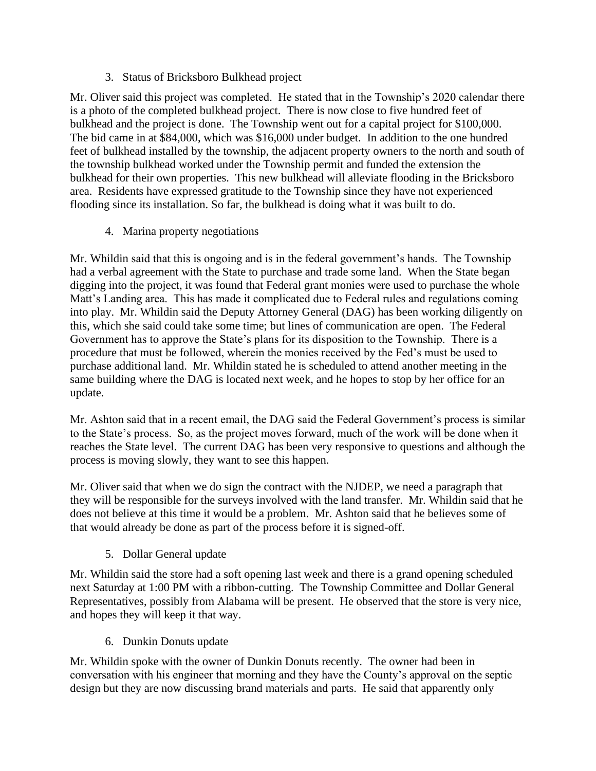3. Status of Bricksboro Bulkhead project

Mr. Oliver said this project was completed. He stated that in the Township's 2020 calendar there is a photo of the completed bulkhead project. There is now close to five hundred feet of bulkhead and the project is done. The Township went out for a capital project for \$100,000. The bid came in at \$84,000, which was \$16,000 under budget. In addition to the one hundred feet of bulkhead installed by the township, the adjacent property owners to the north and south of the township bulkhead worked under the Township permit and funded the extension the bulkhead for their own properties. This new bulkhead will alleviate flooding in the Bricksboro area. Residents have expressed gratitude to the Township since they have not experienced flooding since its installation. So far, the bulkhead is doing what it was built to do.

4. Marina property negotiations

Mr. Whildin said that this is ongoing and is in the federal government's hands. The Township had a verbal agreement with the State to purchase and trade some land. When the State began digging into the project, it was found that Federal grant monies were used to purchase the whole Matt's Landing area. This has made it complicated due to Federal rules and regulations coming into play. Mr. Whildin said the Deputy Attorney General (DAG) has been working diligently on this, which she said could take some time; but lines of communication are open. The Federal Government has to approve the State's plans for its disposition to the Township. There is a procedure that must be followed, wherein the monies received by the Fed's must be used to purchase additional land. Mr. Whildin stated he is scheduled to attend another meeting in the same building where the DAG is located next week, and he hopes to stop by her office for an update.

Mr. Ashton said that in a recent email, the DAG said the Federal Government's process is similar to the State's process. So, as the project moves forward, much of the work will be done when it reaches the State level. The current DAG has been very responsive to questions and although the process is moving slowly, they want to see this happen.

Mr. Oliver said that when we do sign the contract with the NJDEP, we need a paragraph that they will be responsible for the surveys involved with the land transfer. Mr. Whildin said that he does not believe at this time it would be a problem. Mr. Ashton said that he believes some of that would already be done as part of the process before it is signed-off.

5. Dollar General update

Mr. Whildin said the store had a soft opening last week and there is a grand opening scheduled next Saturday at 1:00 PM with a ribbon-cutting. The Township Committee and Dollar General Representatives, possibly from Alabama will be present. He observed that the store is very nice, and hopes they will keep it that way.

6. Dunkin Donuts update

Mr. Whildin spoke with the owner of Dunkin Donuts recently. The owner had been in conversation with his engineer that morning and they have the County's approval on the septic design but they are now discussing brand materials and parts. He said that apparently only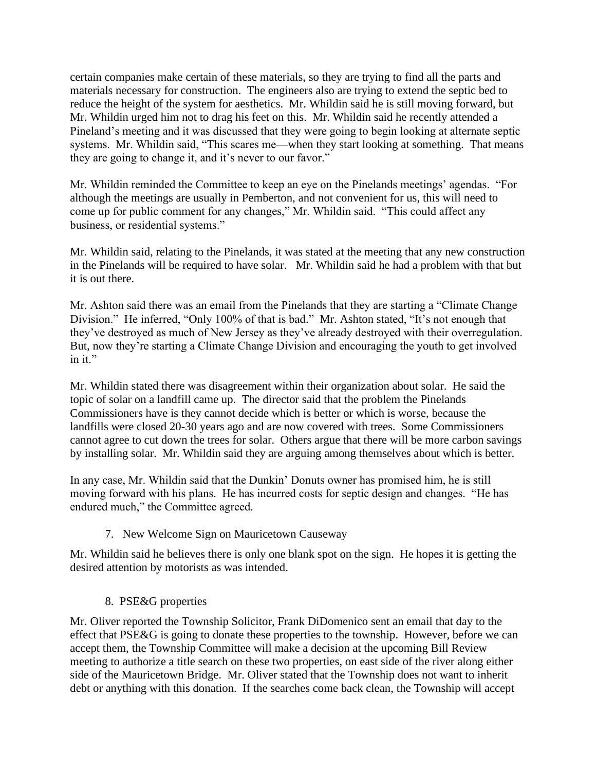certain companies make certain of these materials, so they are trying to find all the parts and materials necessary for construction. The engineers also are trying to extend the septic bed to reduce the height of the system for aesthetics. Mr. Whildin said he is still moving forward, but Mr. Whildin urged him not to drag his feet on this. Mr. Whildin said he recently attended a Pineland's meeting and it was discussed that they were going to begin looking at alternate septic systems. Mr. Whildin said, "This scares me—when they start looking at something. That means they are going to change it, and it's never to our favor."

Mr. Whildin reminded the Committee to keep an eye on the Pinelands meetings' agendas. "For although the meetings are usually in Pemberton, and not convenient for us, this will need to come up for public comment for any changes," Mr. Whildin said. "This could affect any business, or residential systems."

Mr. Whildin said, relating to the Pinelands, it was stated at the meeting that any new construction in the Pinelands will be required to have solar. Mr. Whildin said he had a problem with that but it is out there.

Mr. Ashton said there was an email from the Pinelands that they are starting a "Climate Change Division." He inferred, "Only 100% of that is bad." Mr. Ashton stated, "It's not enough that they've destroyed as much of New Jersey as they've already destroyed with their overregulation. But, now they're starting a Climate Change Division and encouraging the youth to get involved in it."

Mr. Whildin stated there was disagreement within their organization about solar. He said the topic of solar on a landfill came up. The director said that the problem the Pinelands Commissioners have is they cannot decide which is better or which is worse, because the landfills were closed 20-30 years ago and are now covered with trees. Some Commissioners cannot agree to cut down the trees for solar. Others argue that there will be more carbon savings by installing solar. Mr. Whildin said they are arguing among themselves about which is better.

In any case, Mr. Whildin said that the Dunkin' Donuts owner has promised him, he is still moving forward with his plans. He has incurred costs for septic design and changes. "He has endured much," the Committee agreed.

## 7. New Welcome Sign on Mauricetown Causeway

Mr. Whildin said he believes there is only one blank spot on the sign. He hopes it is getting the desired attention by motorists as was intended.

## 8. PSE&G properties

Mr. Oliver reported the Township Solicitor, Frank DiDomenico sent an email that day to the effect that PSE&G is going to donate these properties to the township. However, before we can accept them, the Township Committee will make a decision at the upcoming Bill Review meeting to authorize a title search on these two properties, on east side of the river along either side of the Mauricetown Bridge. Mr. Oliver stated that the Township does not want to inherit debt or anything with this donation. If the searches come back clean, the Township will accept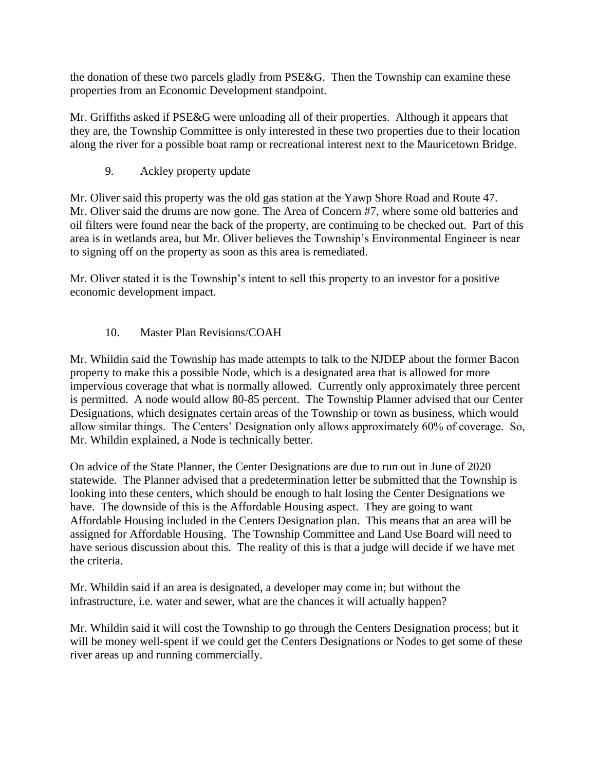the donation of these two parcels gladly from PSE&G. Then the Township can examine these properties from an Economic Development standpoint.

Mr. Griffiths asked if PSE&G were unloading all of their properties. Although it appears that they are, the Township Committee is only interested in these two properties due to their location along the river for a possible boat ramp or recreational interest next to the Mauricetown Bridge.

9. Ackley property update

Mr. Oliver said this property was the old gas station at the Yawp Shore Road and Route 47. Mr. Oliver said the drums are now gone. The Area of Concern #7, where some old batteries and oil filters were found near the back of the property, are continuing to be checked out. Part of this area is in wetlands area, but Mr. Oliver believes the Township's Environmental Engineer is near to signing off on the property as soon as this area is remediated.

Mr. Oliver stated it is the Township's intent to sell this property to an investor for a positive economic development impact.

# 10. Master Plan Revisions/COAH

Mr. Whildin said the Township has made attempts to talk to the NJDEP about the former Bacon property to make this a possible Node, which is a designated area that is allowed for more impervious coverage that what is normally allowed. Currently only approximately three percent is permitted. A node would allow 80-85 percent. The Township Planner advised that our Center Designations, which designates certain areas of the Township or town as business, which would allow similar things. The Centers' Designation only allows approximately 60% of coverage. So, Mr. Whildin explained, a Node is technically better.

On advice of the State Planner, the Center Designations are due to run out in June of 2020 statewide. The Planner advised that a predetermination letter be submitted that the Township is looking into these centers, which should be enough to halt losing the Center Designations we have. The downside of this is the Affordable Housing aspect. They are going to want Affordable Housing included in the Centers Designation plan. This means that an area will be assigned for Affordable Housing. The Township Committee and Land Use Board will need to have serious discussion about this. The reality of this is that a judge will decide if we have met the criteria.

Mr. Whildin said if an area is designated, a developer may come in; but without the infrastructure, i.e. water and sewer, what are the chances it will actually happen?

Mr. Whildin said it will cost the Township to go through the Centers Designation process; but it will be money well-spent if we could get the Centers Designations or Nodes to get some of these river areas up and running commercially.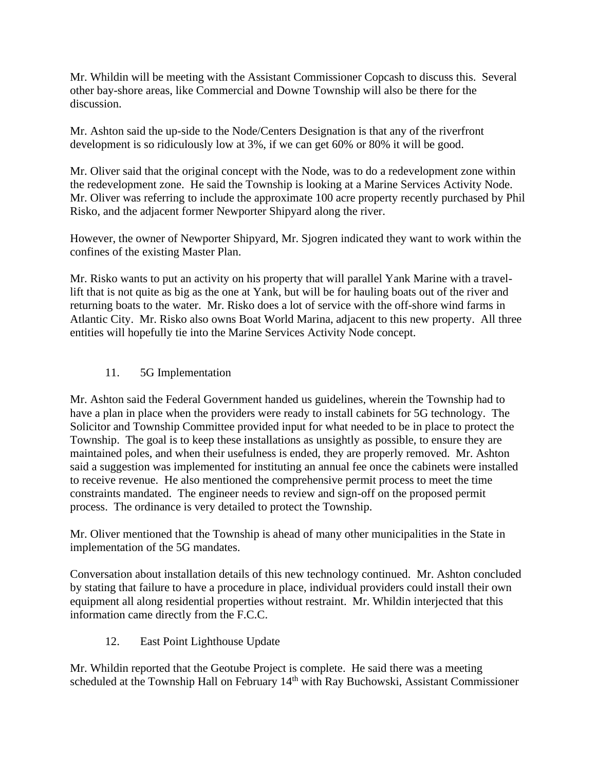Mr. Whildin will be meeting with the Assistant Commissioner Copcash to discuss this. Several other bay-shore areas, like Commercial and Downe Township will also be there for the discussion.

Mr. Ashton said the up-side to the Node/Centers Designation is that any of the riverfront development is so ridiculously low at 3%, if we can get 60% or 80% it will be good.

Mr. Oliver said that the original concept with the Node, was to do a redevelopment zone within the redevelopment zone. He said the Township is looking at a Marine Services Activity Node. Mr. Oliver was referring to include the approximate 100 acre property recently purchased by Phil Risko, and the adjacent former Newporter Shipyard along the river.

However, the owner of Newporter Shipyard, Mr. Sjogren indicated they want to work within the confines of the existing Master Plan.

Mr. Risko wants to put an activity on his property that will parallel Yank Marine with a travellift that is not quite as big as the one at Yank, but will be for hauling boats out of the river and returning boats to the water. Mr. Risko does a lot of service with the off-shore wind farms in Atlantic City. Mr. Risko also owns Boat World Marina, adjacent to this new property. All three entities will hopefully tie into the Marine Services Activity Node concept.

# 11. 5G Implementation

Mr. Ashton said the Federal Government handed us guidelines, wherein the Township had to have a plan in place when the providers were ready to install cabinets for 5G technology. The Solicitor and Township Committee provided input for what needed to be in place to protect the Township. The goal is to keep these installations as unsightly as possible, to ensure they are maintained poles, and when their usefulness is ended, they are properly removed. Mr. Ashton said a suggestion was implemented for instituting an annual fee once the cabinets were installed to receive revenue. He also mentioned the comprehensive permit process to meet the time constraints mandated. The engineer needs to review and sign-off on the proposed permit process. The ordinance is very detailed to protect the Township.

Mr. Oliver mentioned that the Township is ahead of many other municipalities in the State in implementation of the 5G mandates.

Conversation about installation details of this new technology continued. Mr. Ashton concluded by stating that failure to have a procedure in place, individual providers could install their own equipment all along residential properties without restraint. Mr. Whildin interjected that this information came directly from the F.C.C.

12. East Point Lighthouse Update

Mr. Whildin reported that the Geotube Project is complete. He said there was a meeting scheduled at the Township Hall on February 14<sup>th</sup> with Ray Buchowski, Assistant Commissioner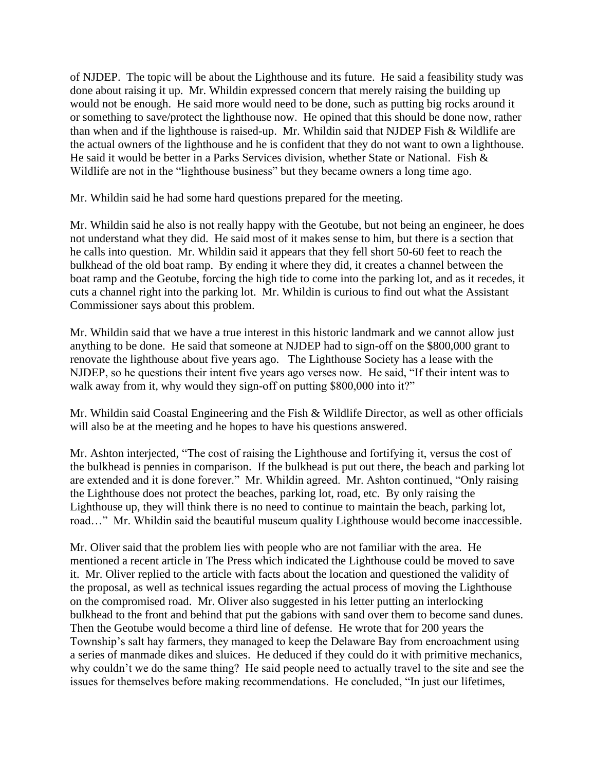of NJDEP. The topic will be about the Lighthouse and its future. He said a feasibility study was done about raising it up. Mr. Whildin expressed concern that merely raising the building up would not be enough. He said more would need to be done, such as putting big rocks around it or something to save/protect the lighthouse now. He opined that this should be done now, rather than when and if the lighthouse is raised-up. Mr. Whildin said that NJDEP Fish & Wildlife are the actual owners of the lighthouse and he is confident that they do not want to own a lighthouse. He said it would be better in a Parks Services division, whether State or National. Fish & Wildlife are not in the "lighthouse business" but they became owners a long time ago.

Mr. Whildin said he had some hard questions prepared for the meeting.

Mr. Whildin said he also is not really happy with the Geotube, but not being an engineer, he does not understand what they did. He said most of it makes sense to him, but there is a section that he calls into question. Mr. Whildin said it appears that they fell short 50-60 feet to reach the bulkhead of the old boat ramp. By ending it where they did, it creates a channel between the boat ramp and the Geotube, forcing the high tide to come into the parking lot, and as it recedes, it cuts a channel right into the parking lot. Mr. Whildin is curious to find out what the Assistant Commissioner says about this problem.

Mr. Whildin said that we have a true interest in this historic landmark and we cannot allow just anything to be done. He said that someone at NJDEP had to sign-off on the \$800,000 grant to renovate the lighthouse about five years ago. The Lighthouse Society has a lease with the NJDEP, so he questions their intent five years ago verses now. He said, "If their intent was to walk away from it, why would they sign-off on putting \$800,000 into it?"

Mr. Whildin said Coastal Engineering and the Fish & Wildlife Director, as well as other officials will also be at the meeting and he hopes to have his questions answered.

Mr. Ashton interjected, "The cost of raising the Lighthouse and fortifying it, versus the cost of the bulkhead is pennies in comparison. If the bulkhead is put out there, the beach and parking lot are extended and it is done forever." Mr. Whildin agreed. Mr. Ashton continued, "Only raising the Lighthouse does not protect the beaches, parking lot, road, etc. By only raising the Lighthouse up, they will think there is no need to continue to maintain the beach, parking lot, road…" Mr. Whildin said the beautiful museum quality Lighthouse would become inaccessible.

Mr. Oliver said that the problem lies with people who are not familiar with the area. He mentioned a recent article in The Press which indicated the Lighthouse could be moved to save it. Mr. Oliver replied to the article with facts about the location and questioned the validity of the proposal, as well as technical issues regarding the actual process of moving the Lighthouse on the compromised road. Mr. Oliver also suggested in his letter putting an interlocking bulkhead to the front and behind that put the gabions with sand over them to become sand dunes. Then the Geotube would become a third line of defense. He wrote that for 200 years the Township's salt hay farmers, they managed to keep the Delaware Bay from encroachment using a series of manmade dikes and sluices. He deduced if they could do it with primitive mechanics, why couldn't we do the same thing? He said people need to actually travel to the site and see the issues for themselves before making recommendations. He concluded, "In just our lifetimes,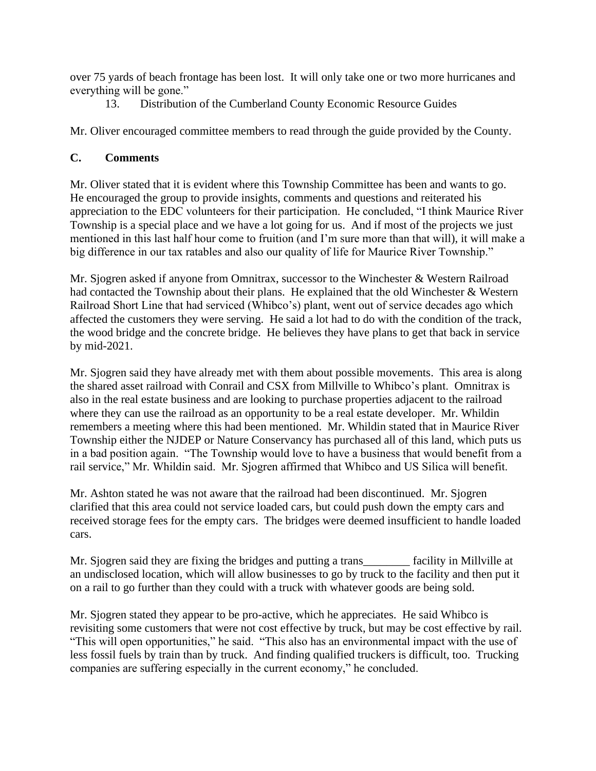over 75 yards of beach frontage has been lost. It will only take one or two more hurricanes and everything will be gone."

13. Distribution of the Cumberland County Economic Resource Guides

Mr. Oliver encouraged committee members to read through the guide provided by the County.

# **C. Comments**

Mr. Oliver stated that it is evident where this Township Committee has been and wants to go. He encouraged the group to provide insights, comments and questions and reiterated his appreciation to the EDC volunteers for their participation. He concluded, "I think Maurice River Township is a special place and we have a lot going for us. And if most of the projects we just mentioned in this last half hour come to fruition (and I'm sure more than that will), it will make a big difference in our tax ratables and also our quality of life for Maurice River Township."

Mr. Sjogren asked if anyone from Omnitrax, successor to the Winchester & Western Railroad had contacted the Township about their plans. He explained that the old Winchester & Western Railroad Short Line that had serviced (Whibco's) plant, went out of service decades ago which affected the customers they were serving. He said a lot had to do with the condition of the track, the wood bridge and the concrete bridge. He believes they have plans to get that back in service by mid-2021.

Mr. Sjogren said they have already met with them about possible movements. This area is along the shared asset railroad with Conrail and CSX from Millville to Whibco's plant. Omnitrax is also in the real estate business and are looking to purchase properties adjacent to the railroad where they can use the railroad as an opportunity to be a real estate developer. Mr. Whildin remembers a meeting where this had been mentioned. Mr. Whildin stated that in Maurice River Township either the NJDEP or Nature Conservancy has purchased all of this land, which puts us in a bad position again. "The Township would love to have a business that would benefit from a rail service," Mr. Whildin said. Mr. Sjogren affirmed that Whibco and US Silica will benefit.

Mr. Ashton stated he was not aware that the railroad had been discontinued. Mr. Sjogren clarified that this area could not service loaded cars, but could push down the empty cars and received storage fees for the empty cars. The bridges were deemed insufficient to handle loaded cars.

Mr. Sjogren said they are fixing the bridges and putting a trans\_\_\_\_\_\_\_\_ facility in Millville at an undisclosed location, which will allow businesses to go by truck to the facility and then put it on a rail to go further than they could with a truck with whatever goods are being sold.

Mr. Sjogren stated they appear to be pro-active, which he appreciates. He said Whibco is revisiting some customers that were not cost effective by truck, but may be cost effective by rail. "This will open opportunities," he said. "This also has an environmental impact with the use of less fossil fuels by train than by truck. And finding qualified truckers is difficult, too. Trucking companies are suffering especially in the current economy," he concluded.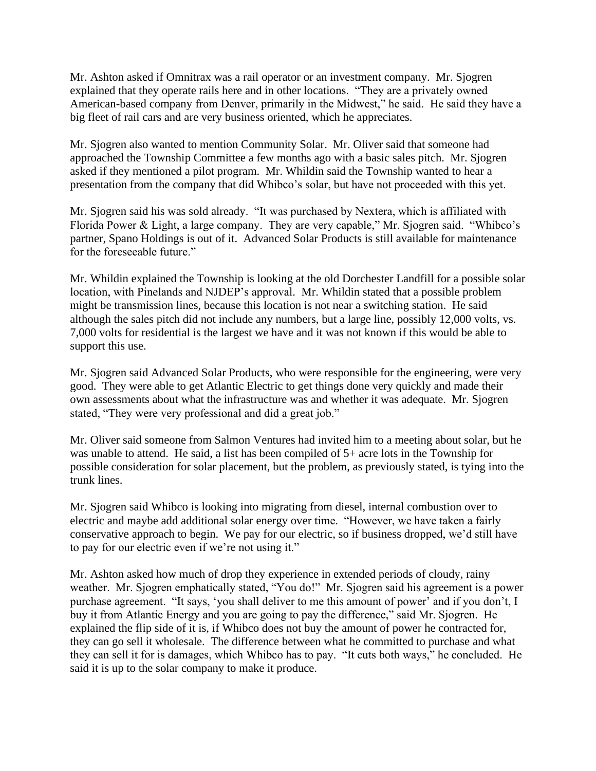Mr. Ashton asked if Omnitrax was a rail operator or an investment company. Mr. Sjogren explained that they operate rails here and in other locations. "They are a privately owned American-based company from Denver, primarily in the Midwest," he said. He said they have a big fleet of rail cars and are very business oriented, which he appreciates.

Mr. Sjogren also wanted to mention Community Solar. Mr. Oliver said that someone had approached the Township Committee a few months ago with a basic sales pitch. Mr. Sjogren asked if they mentioned a pilot program. Mr. Whildin said the Township wanted to hear a presentation from the company that did Whibco's solar, but have not proceeded with this yet.

Mr. Sjogren said his was sold already. "It was purchased by Nextera, which is affiliated with Florida Power & Light, a large company. They are very capable," Mr. Sjogren said. "Whibco's partner, Spano Holdings is out of it. Advanced Solar Products is still available for maintenance for the foreseeable future."

Mr. Whildin explained the Township is looking at the old Dorchester Landfill for a possible solar location, with Pinelands and NJDEP's approval. Mr. Whildin stated that a possible problem might be transmission lines, because this location is not near a switching station. He said although the sales pitch did not include any numbers, but a large line, possibly 12,000 volts, vs. 7,000 volts for residential is the largest we have and it was not known if this would be able to support this use.

Mr. Sjogren said Advanced Solar Products, who were responsible for the engineering, were very good. They were able to get Atlantic Electric to get things done very quickly and made their own assessments about what the infrastructure was and whether it was adequate. Mr. Sjogren stated, "They were very professional and did a great job."

Mr. Oliver said someone from Salmon Ventures had invited him to a meeting about solar, but he was unable to attend. He said, a list has been compiled of 5+ acre lots in the Township for possible consideration for solar placement, but the problem, as previously stated, is tying into the trunk lines.

Mr. Sjogren said Whibco is looking into migrating from diesel, internal combustion over to electric and maybe add additional solar energy over time. "However, we have taken a fairly conservative approach to begin. We pay for our electric, so if business dropped, we'd still have to pay for our electric even if we're not using it."

Mr. Ashton asked how much of drop they experience in extended periods of cloudy, rainy weather. Mr. Sjogren emphatically stated, "You do!" Mr. Sjogren said his agreement is a power purchase agreement. "It says, 'you shall deliver to me this amount of power' and if you don't, I buy it from Atlantic Energy and you are going to pay the difference," said Mr. Sjogren. He explained the flip side of it is, if Whibco does not buy the amount of power he contracted for, they can go sell it wholesale. The difference between what he committed to purchase and what they can sell it for is damages, which Whibco has to pay. "It cuts both ways," he concluded. He said it is up to the solar company to make it produce.